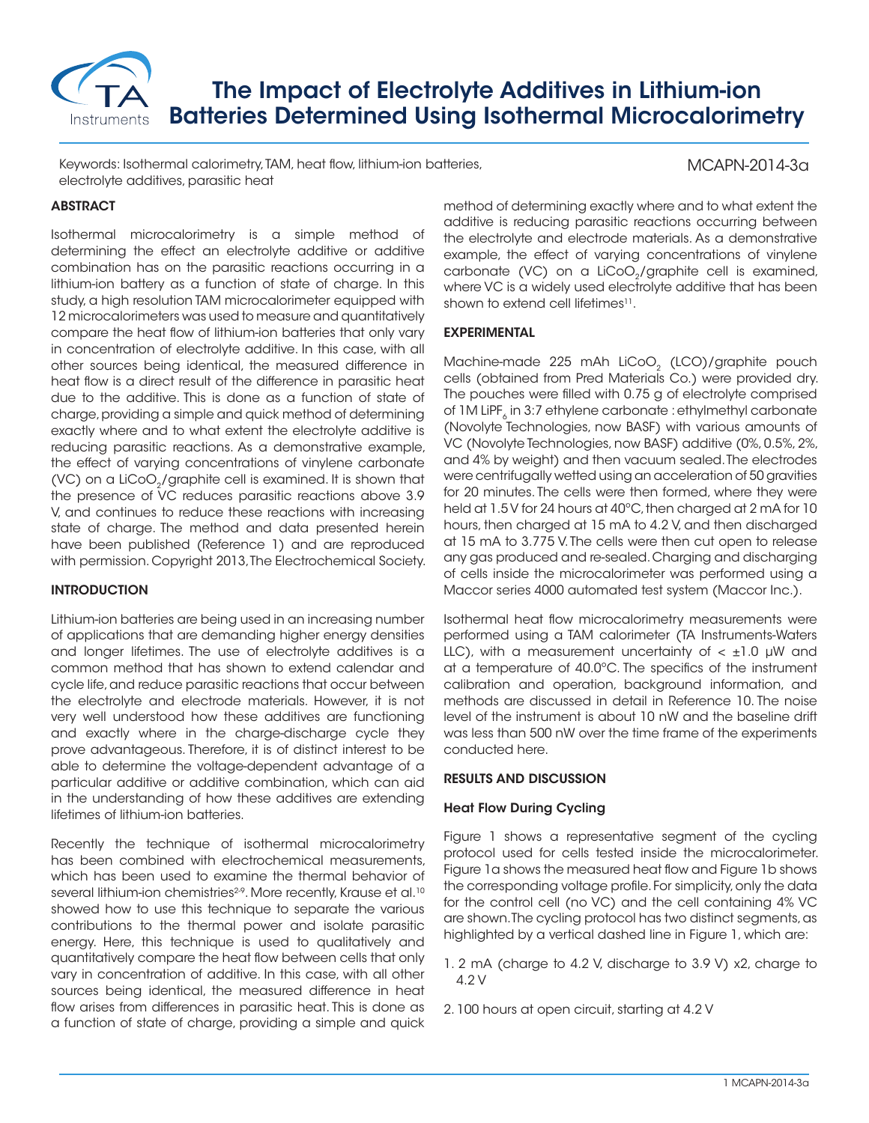

# The Impact of Electrolyte Additives in Lithium-ion Batteries Determined Using Isothermal Microcalorimetry

Keywords: Isothermal calorimetry, TAM, heat flow, lithium-ion batteries, electrolyte additives, parasitic heat

## **ABSTRACT**

Isothermal microcalorimetry is a simple method of determining the effect an electrolyte additive or additive combination has on the parasitic reactions occurring in a lithium-ion battery as a function of state of charge. In this study, a high resolution TAM microcalorimeter equipped with 12 microcalorimeters was used to measure and quantitatively compare the heat flow of lithium-ion batteries that only vary in concentration of electrolyte additive. In this case, with all other sources being identical, the measured difference in heat flow is a direct result of the difference in parasitic heat due to the additive. This is done as a function of state of charge, providing a simple and quick method of determining exactly where and to what extent the electrolyte additive is reducing parasitic reactions. As a demonstrative example, the effect of varying concentrations of vinylene carbonate (VC) on a LiCoO<sub>2</sub>/graphite cell is examined. It is shown that the presence of VC reduces parasitic reactions above 3.9 V, and continues to reduce these reactions with increasing state of charge. The method and data presented herein have been published (Reference 1) and are reproduced with permission. Copyright 2013, The Electrochemical Society.

## INTRODUCTION

Lithium-ion batteries are being used in an increasing number of applications that are demanding higher energy densities and longer lifetimes. The use of electrolyte additives is a common method that has shown to extend calendar and cycle life, and reduce parasitic reactions that occur between the electrolyte and electrode materials. However, it is not very well understood how these additives are functioning and exactly where in the charge-discharge cycle they prove advantageous. Therefore, it is of distinct interest to be able to determine the voltage-dependent advantage of a particular additive or additive combination, which can aid in the understanding of how these additives are extending lifetimes of lithium-ion batteries.

Recently the technique of isothermal microcalorimetry has been combined with electrochemical measurements, which has been used to examine the thermal behavior of several lithium-ion chemistries<sup>2-9</sup>. More recently, Krause et al.<sup>10</sup> showed how to use this technique to separate the various contributions to the thermal power and isolate parasitic energy. Here, this technique is used to qualitatively and quantitatively compare the heat flow between cells that only vary in concentration of additive. In this case, with all other sources being identical, the measured difference in heat flow arises from differences in parasitic heat. This is done as a function of state of charge, providing a simple and quick method of determining exactly where and to what extent the additive is reducing parasitic reactions occurring between the electrolyte and electrode materials. As a demonstrative example, the effect of varying concentrations of vinylene carbonate (VC) on a LiCoO<sub>2</sub>/graphite cell is examined, where VC is a widely used electrolyte additive that has been shown to extend cell lifetimes<sup>11</sup>.

MCAPN-2014-3a

#### EXPERIMENTAL

Machine-made 225 mAh LiCoO<sub>2</sub> (LCO)/graphite pouch cells (obtained from Pred Materials Co.) were provided dry. The pouches were filled with 0.75 g of electrolyte comprised of  $1M$  LiPF<sub>s</sub> in 3:7 ethylene carbonate : ethylmethyl carbonate (Novolyte Technologies, now BASF) with various amounts of VC (Novolyte Technologies, now BASF) additive (0%, 0.5%, 2%, and 4% by weight) and then vacuum sealed. The electrodes were centrifugally wetted using an acceleration of 50 gravities for 20 minutes. The cells were then formed, where they were held at 1.5 V for 24 hours at 40°C, then charged at 2 mA for 10 hours, then charged at 15 mA to 4.2 V, and then discharged at 15 mA to 3.775 V. The cells were then cut open to release any gas produced and re-sealed. Charging and discharging of cells inside the microcalorimeter was performed using a Maccor series 4000 automated test system (Maccor Inc.).

Isothermal heat flow microcalorimetry measurements were performed using a TAM calorimeter (TA Instruments-Waters LLC), with a measurement uncertainty of  $\lt$   $\pm$ 1.0 µW and at a temperature of 40.0ºC. The specifics of the instrument calibration and operation, background information, and methods are discussed in detail in Reference 10. The noise level of the instrument is about 10 nW and the baseline drift was less than 500 nW over the time frame of the experiments conducted here.

#### RESULTS AND DISCUSSION

## Heat Flow During Cycling

Figure 1 shows a representative segment of the cycling protocol used for cells tested inside the microcalorimeter. Figure 1a shows the measured heat flow and Figure 1b shows the corresponding voltage profile. For simplicity, only the data for the control cell (no VC) and the cell containing 4% VC are shown. The cycling protocol has two distinct segments, as highlighted by a vertical dashed line in Figure 1, which are:

- 1. 2 mA (charge to 4.2 V, discharge to 3.9 V) x2, charge to  $4.2 V$
- 2. 100 hours at open circuit, starting at 4.2 V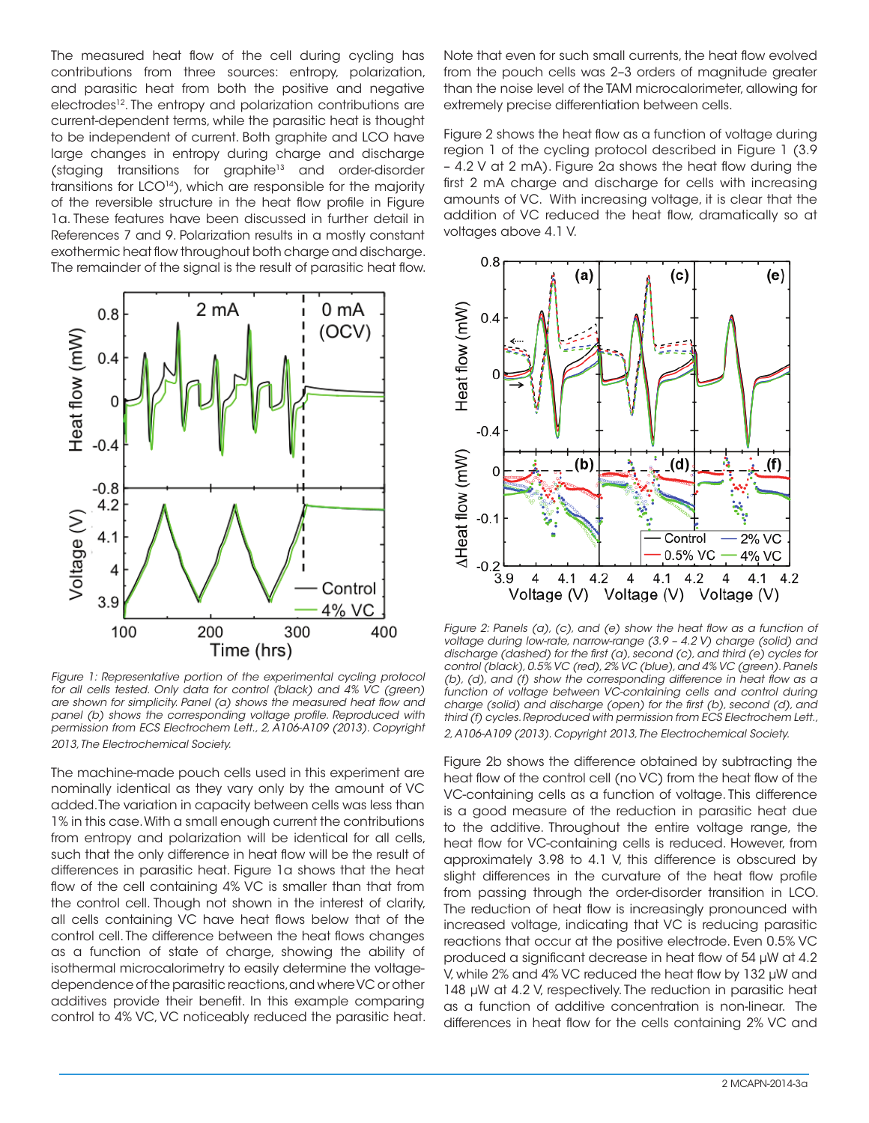The measured heat flow of the cell during cycling has contributions from three sources: entropy, polarization, and parasitic heat from both the positive and negative electrodes<sup>12</sup>. The entropy and polarization contributions are current-dependent terms, while the parasitic heat is thought to be independent of current. Both graphite and LCO have large changes in entropy during charge and discharge (staging transitions for graphite<sup>13</sup> and order-disorder transitions for LCO<sup>14</sup>), which are responsible for the majority of the reversible structure in the heat flow profile in Figure 1a. These features have been discussed in further detail in References 7 and 9. Polarization results in a mostly constant exothermic heat flow throughout both charge and discharge. The remainder of the signal is the result of parasitic heat flow.



*Figure 1: Representative portion of the experimental cycling protocol for all cells tested. Only data for control (black) and 4% VC (green) are shown for simplicity. Panel (a) shows the measured heat flow and panel (b) shows the corresponding voltage profile. Reproduced with permission from ECS Electrochem Lett., 2, A106-A109 (2013). Copyright 2013, The Electrochemical Society.*

The machine-made pouch cells used in this experiment are nominally identical as they vary only by the amount of VC added. The variation in capacity between cells was less than 1% in this case. With a small enough current the contributions from entropy and polarization will be identical for all cells, such that the only difference in heat flow will be the result of differences in parasitic heat. Figure 1a shows that the heat flow of the cell containing 4% VC is smaller than that from the control cell. Though not shown in the interest of clarity, all cells containing VC have heat flows below that of the control cell. The difference between the heat flows changes as a function of state of charge, showing the ability of isothermal microcalorimetry to easily determine the voltagedependence of the parasitic reactions, and where VC or other additives provide their benefit. In this example comparing control to 4% VC, VC noticeably reduced the parasitic heat. Note that even for such small currents, the heat flow evolved from the pouch cells was 2–3 orders of magnitude greater than the noise level of the TAM microcalorimeter, allowing for extremely precise differentiation between cells.

Figure 2 shows the heat flow as a function of voltage during region 1 of the cycling protocol described in Figure 1 (3.9 – 4.2 V at 2 mA). Figure 2a shows the heat flow during the first 2 mA charge and discharge for cells with increasing amounts of VC. With increasing voltage, it is clear that the addition of VC reduced the heat flow, dramatically so at voltages above 4.1 V.



*Figure 2: Panels (a), (c), and (e) show the heat flow as a function of voltage during low-rate, narrow-range (3.9 – 4.2 V) charge (solid) and discharge (dashed) for the first (a), second (c), and third (e) cycles for control (black), 0.5% VC (red), 2% VC (blue), and 4% VC (green). Panels (b), (d), and (f) show the corresponding difference in heat flow as a function of voltage between VC-containing cells and control during charge (solid) and discharge (open) for the first (b), second (d), and third (f) cycles. Reproduced with permission from ECS Electrochem Lett., 2, A106-A109 (2013). Copyright 2013, The Electrochemical Society.*

Figure 2b shows the difference obtained by subtracting the heat flow of the control cell (no VC) from the heat flow of the VC-containing cells as a function of voltage. This difference is a good measure of the reduction in parasitic heat due to the additive. Throughout the entire voltage range, the heat flow for VC-containing cells is reduced. However, from approximately 3.98 to 4.1 V, this difference is obscured by slight differences in the curvature of the heat flow profile from passing through the order-disorder transition in LCO. The reduction of heat flow is increasingly pronounced with increased voltage, indicating that VC is reducing parasitic reactions that occur at the positive electrode. Even 0.5% VC produced a significant decrease in heat flow of 54 μW at 4.2 V, while 2% and 4% VC reduced the heat flow by 132 μW and 148 μW at 4.2 V, respectively. The reduction in parasitic heat as a function of additive concentration is non-linear. The differences in heat flow for the cells containing 2% VC and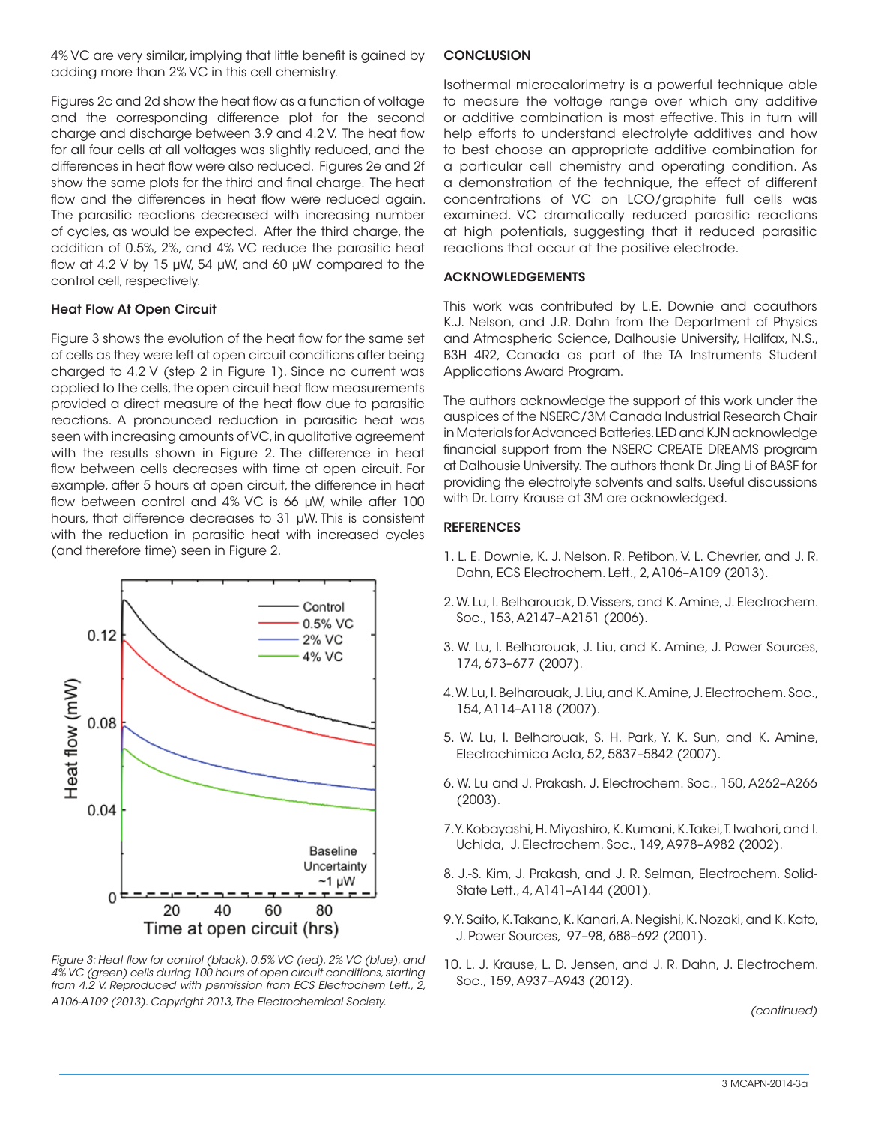4% VC are very similar, implying that little benefit is gained by adding more than 2% VC in this cell chemistry.

Figures 2c and 2d show the heat flow as a function of voltage and the corresponding difference plot for the second charge and discharge between 3.9 and 4.2 V. The heat flow for all four cells at all voltages was slightly reduced, and the differences in heat flow were also reduced. Figures 2e and 2f show the same plots for the third and final charge. The heat flow and the differences in heat flow were reduced again. The parasitic reactions decreased with increasing number of cycles, as would be expected. After the third charge, the addition of 0.5%, 2%, and 4% VC reduce the parasitic heat flow at 4.2 V by 15 μW, 54 μW, and 60 μW compared to the control cell, respectively.

## Heat Flow At Open Circuit

Figure 3 shows the evolution of the heat flow for the same set of cells as they were left at open circuit conditions after being charged to 4.2 V (step 2 in Figure 1). Since no current was applied to the cells, the open circuit heat flow measurements provided a direct measure of the heat flow due to parasitic reactions. A pronounced reduction in parasitic heat was seen with increasing amounts of VC, in qualitative agreement with the results shown in Figure 2. The difference in heat flow between cells decreases with time at open circuit. For example, after 5 hours at open circuit, the difference in heat flow between control and 4% VC is 66 μW, while after 100 hours, that difference decreases to 31 μW. This is consistent with the reduction in parasitic heat with increased cycles (and therefore time) seen in Figure 2.



*Figure 3: Heat flow for control (black), 0.5% VC (red), 2% VC (blue), and 4% VC (green) cells during 100 hours of open circuit conditions, starting from 4.2 V. Reproduced with permission from ECS Electrochem Lett., 2, A106-A109 (2013). Copyright 2013, The Electrochemical Society.*

#### **CONCLUSION**

Isothermal microcalorimetry is a powerful technique able to measure the voltage range over which any additive or additive combination is most effective. This in turn will help efforts to understand electrolyte additives and how to best choose an appropriate additive combination for a particular cell chemistry and operating condition. As a demonstration of the technique, the effect of different concentrations of VC on LCO/graphite full cells was examined. VC dramatically reduced parasitic reactions at high potentials, suggesting that it reduced parasitic reactions that occur at the positive electrode.

## ACKNOWLEDGEMENTS

This work was contributed by L.E. Downie and coauthors K.J. Nelson, and J.R. Dahn from the Department of Physics and Atmospheric Science, Dalhousie University, Halifax, N.S., B3H 4R2, Canada as part of the TA Instruments Student Applications Award Program.

The authors acknowledge the support of this work under the auspices of the NSERC/3M Canada Industrial Research Chair in Materials for Advanced Batteries. LED and KJN acknowledge financial support from the NSERC CREATE DREAMS program at Dalhousie University. The authors thank Dr. Jing Li of BASF for providing the electrolyte solvents and salts. Useful discussions with Dr. Larry Krause at 3M are acknowledged.

## **REFERENCES**

- 1. L. E. Downie, K. J. Nelson, R. Petibon, V. L. Chevrier, and J. R. Dahn, ECS Electrochem. Lett., 2, A106–A109 (2013).
- 2. W. Lu, I. Belharouak, D. Vissers, and K. Amine, J. Electrochem. Soc., 153, A2147–A2151 (2006).
- 3. W. Lu, I. Belharouak, J. Liu, and K. Amine, J. Power Sources, 174, 673–677 (2007).
- 4. W. Lu, I. Belharouak, J. Liu, and K. Amine, J. Electrochem. Soc., 154, A114–A118 (2007).
- 5. W. Lu, I. Belharouak, S. H. Park, Y. K. Sun, and K. Amine, Electrochimica Acta, 52, 5837–5842 (2007).
- 6. W. Lu and J. Prakash, J. Electrochem. Soc., 150, A262–A266 (2003).
- 7. Y. Kobayashi, H. Miyashiro, K. Kumani, K. Takei, T. Iwahori, and I. Uchida, J. Electrochem. Soc., 149, A978–A982 (2002).
- 8. J.-S. Kim, J. Prakash, and J. R. Selman, Electrochem. Solid-State Lett., 4, A141–A144 (2001).
- 9. Y. Saito, K. Takano, K. Kanari, A. Negishi, K. Nozaki, and K. Kato, J. Power Sources, 97–98, 688–692 (2001).
- 10. L. J. Krause, L. D. Jensen, and J. R. Dahn, J. Electrochem. Soc., 159, A937–A943 (2012).

*(continued)*